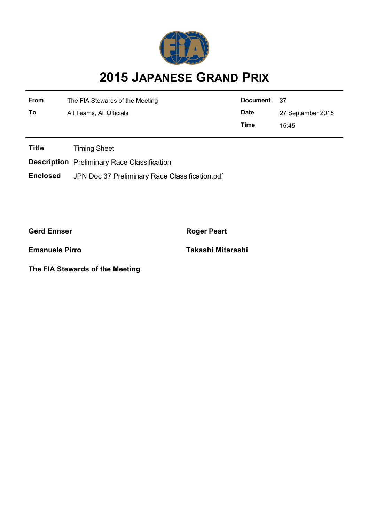

## **2015 JAPANESE GRAND PRIX**

| From | The FIA Stewards of the Meeting | Document    | 37                |  |
|------|---------------------------------|-------------|-------------------|--|
| To   | All Teams, All Officials        | <b>Date</b> | 27 September 2015 |  |
|      | Time                            |             | 15:45             |  |

**Title** Timing Sheet

**Description** Preliminary Race Classification

**Enclosed** JPN Doc 37 Preliminary Race Classification.pdf

**Gerd Ennser Roger Peart** 

**Emanuele Pirro Takashi Mitarashi**

**The FIA Stewards of the Meeting**